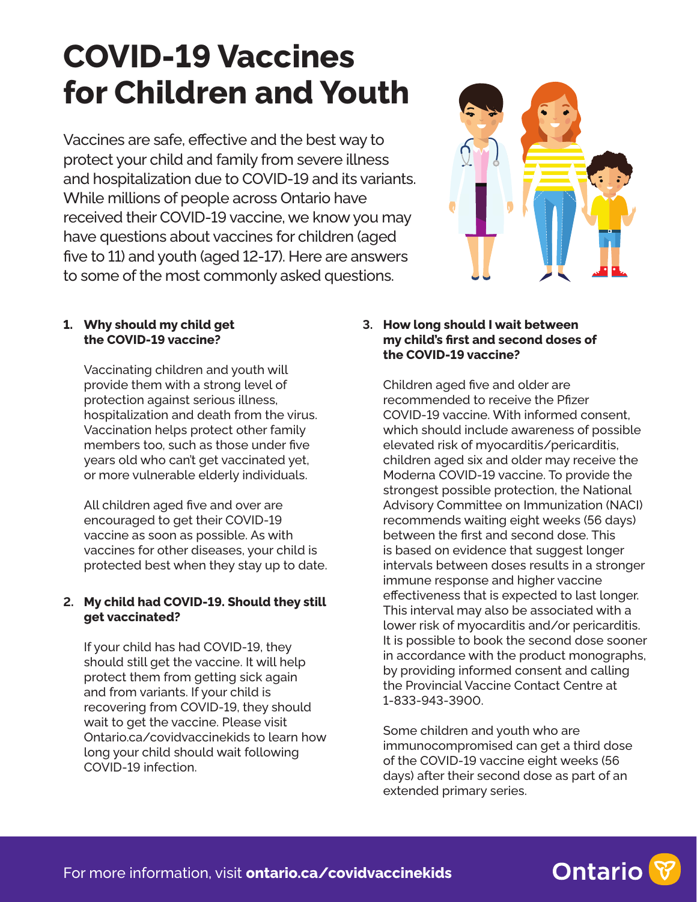# **COVID-19 Vaccines for Children and Youth**

Vaccines are safe, effective and the best way to protect your child and family from severe illness and hospitalization due to COVID-19 and its variants. While millions of people across Ontario have received their COVID-19 vaccine, we know you may have questions about vaccines for children (aged five to 11) and youth (aged 12-17). Here are answers to some of the most commonly asked questions.



## **1. Why should my child get the COVID-19 vaccine?**

Vaccinating children and youth will provide them with a strong level of protection against serious illness, hospitalization and death from the virus. Vaccination helps protect other family members too, such as those under five years old who can't get vaccinated yet, or more vulnerable elderly individuals.

All children aged five and over are encouraged to get their COVID-19 vaccine as soon as possible. As with vaccines for other diseases, your child is protected best when they stay up to date.

## **2. My child had COVID-19. Should they still get vaccinated?**

If your child has had COVID-19, they should still get the vaccine. It will help protect them from getting sick again and from variants. If your child is recovering from COVID-19, they should wait to get the vaccine. Please visit [Ontario.ca/covidvaccinekids](http://Ontario.ca/covidvaccinekids) to learn how long your child should wait following COVID-19 infection.

#### **3. How long should I wait between my child's first and second doses of the COVID-19 vaccine?**

Children aged five and older are recommended to receive the Pfizer COVID-19 vaccine. With informed consent, which should include awareness of possible elevated risk of myocarditis/pericarditis, children aged six and older may receive the Moderna COVID-19 vaccine. To provide the strongest possible protection, the National Advisory Committee on Immunization (NACI) recommends waiting eight weeks (56 days) between the first and second dose. This is based on evidence that suggest longer intervals between doses results in a stronger immune response and higher vaccine effectiveness that is expected to last longer. This interval may also be associated with a lower risk of myocarditis and/or pericarditis. It is possible to book the second dose sooner in accordance with the product monographs, by providing informed consent and calling the Provincial Vaccine Contact Centre at 1-833-943-3900.

Some children and youth who are immunocompromised can get a third dose of the COVID-19 vaccine eight weeks (56 days) after their second dose as part of an extended primary series.

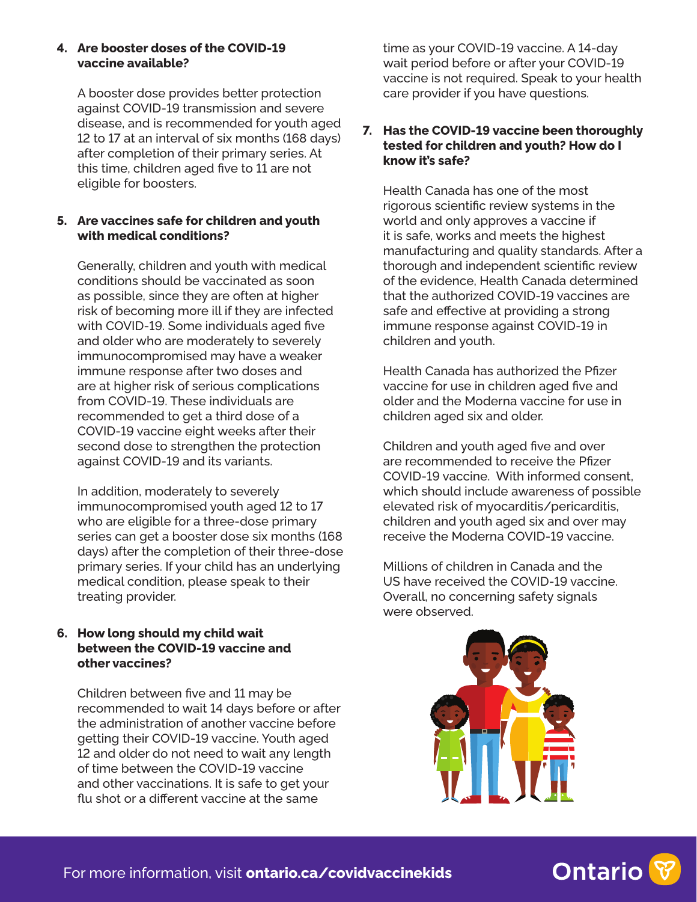#### **4. Are booster doses of the COVID-19 vaccine available?**

A booster dose provides better protection against COVID-19 transmission and severe disease, and is recommended for youth aged 12 to 17 at an interval of six months (168 days) after completion of their primary series. At this time, children aged five to 11 are not eligible for boosters.

## **5. Are vaccines safe for children and youth with medical conditions?**

Generally, children and youth with medical conditions should be vaccinated as soon as possible, since they are often at higher risk of becoming more ill if they are infected with COVID-19. Some individuals aged five and older who are moderately to severely immunocompromised may have a weaker immune response after two doses and are at higher risk of serious complications from COVID-19. These individuals are recommended to get a third dose of a COVID-19 vaccine eight weeks after their second dose to strengthen the protection against COVID-19 and its variants.

In addition, moderately to severely immunocompromised youth aged 12 to 17 who are eligible for a three-dose primary series can get a booster dose six months (168 days) after the completion of their three-dose primary series. If your child has an underlying medical condition, please speak to their treating provider.

## **6. How long should my child wait between the COVID-19 vaccine and other vaccines?**

Children between five and 11 may be recommended to wait 14 days before or after the administration of another vaccine before getting their COVID-19 vaccine. Youth aged 12 and older do not need to wait any length of time between the COVID-19 vaccine and other vaccinations. It is safe to get your flu shot or a different vaccine at the same

time as your COVID-19 vaccine. A 14-day wait period before or after your COVID-19 vaccine is not required. Speak to your health care provider if you have questions.

#### **7. Has the COVID-19 vaccine been thoroughly tested for children and youth? How do I know it's safe?**

Health Canada has one of the most rigorous scientific review systems in the world and only approves a vaccine if it is safe, works and meets the highest manufacturing and quality standards. After a thorough and independent scientific review of the evidence, Health Canada determined that the authorized COVID-19 vaccines are safe and effective at providing a strong immune response against COVID-19 in children and youth.

Health Canada has authorized the Pfizer vaccine for use in children aged five and older and the Moderna vaccine for use in children aged six and older.

Children and youth aged five and over are recommended to receive the Pfizer COVID-19 vaccine. With informed consent, which should include awareness of possible elevated risk of myocarditis/pericarditis, children and youth aged six and over may receive the Moderna COVID-19 vaccine.

Millions of children in Canada and the US have received the COVID-19 vaccine. Overall, no concerning safety signals were observed.



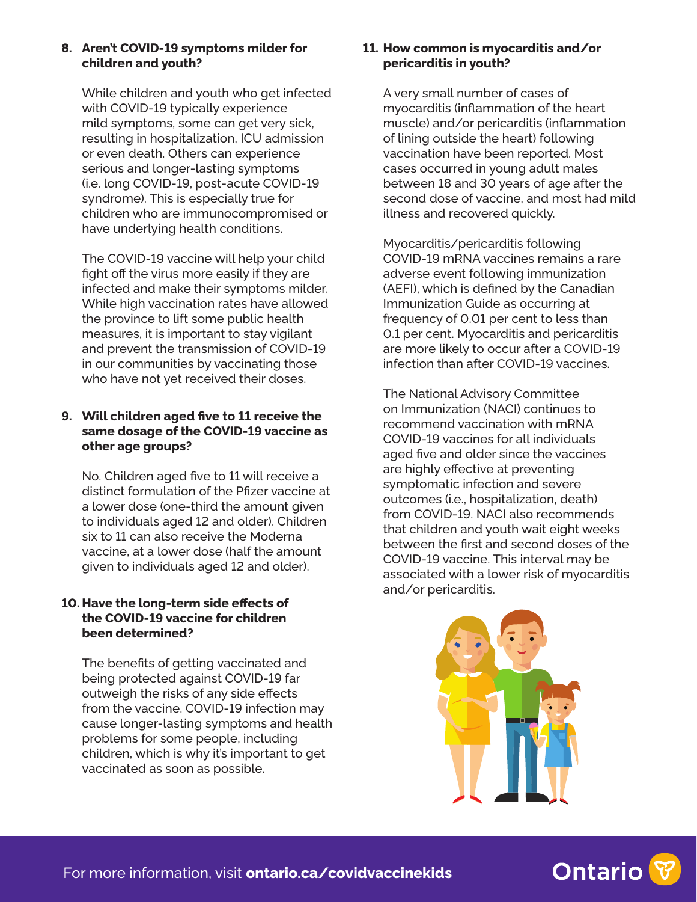#### **8. Aren't COVID-19 symptoms milder for children and youth?**

While children and youth who get infected with COVID-19 typically experience mild symptoms, some can get very sick, resulting in hospitalization, ICU admission or even death. Others can experience serious and longer-lasting symptoms (i.e. long COVID-19, post-acute COVID-19 syndrome). This is especially true for children who are immunocompromised or have underlying health conditions.

The COVID-19 vaccine will help your child fight off the virus more easily if they are infected and make their symptoms milder. While high vaccination rates have allowed the province to lift some public health measures, it is important to stay vigilant and prevent the transmission of COVID-19 in our communities by vaccinating those who have not yet received their doses.

## **9. Will children aged five to 11 receive the same dosage of the COVID-19 vaccine as other age groups?**

No. Children aged five to 11 will receive a distinct formulation of the Pfizer vaccine at a lower dose (one-third the amount given to individuals aged 12 and older). Children six to 11 can also receive the Moderna vaccine, at a lower dose (half the amount given to individuals aged 12 and older).

## **10. Have the long-term side effects of the COVID-19 vaccine for children been determined?**

The benefits of getting vaccinated and being protected against COVID-19 far outweigh the risks of any side effects from the vaccine. COVID-19 infection may cause longer-lasting symptoms and health problems for some people, including children, which is why it's important to get vaccinated as soon as possible.

## **11. How common is myocarditis and/or pericarditis in youth?**

A very small number of cases of myocarditis (inflammation of the heart muscle) and/or pericarditis (inflammation of lining outside the heart) following vaccination have been reported. Most cases occurred in young adult males between 18 and 30 years of age after the second dose of vaccine, and most had mild illness and recovered quickly.

Myocarditis/pericarditis following COVID-19 mRNA vaccines remains a rare adverse event following immunization (AEFI), which is defined by the Canadian Immunization Guide as occurring at frequency of 0.01 per cent to less than 0.1 per cent. Myocarditis and pericarditis are more likely to occur after a COVID-19 infection than after COVID-19 vaccines.

The National Advisory Committee on Immunization (NACI) continues to recommend vaccination with mRNA COVID-19 vaccines for all individuals aged five and older since the vaccines are highly effective at preventing symptomatic infection and severe outcomes (i.e., hospitalization, death) from COVID-19. NACI also recommends that children and youth wait eight weeks between the first and second doses of the COVID-19 vaccine. This interval may be associated with a lower risk of myocarditis and/or pericarditis.



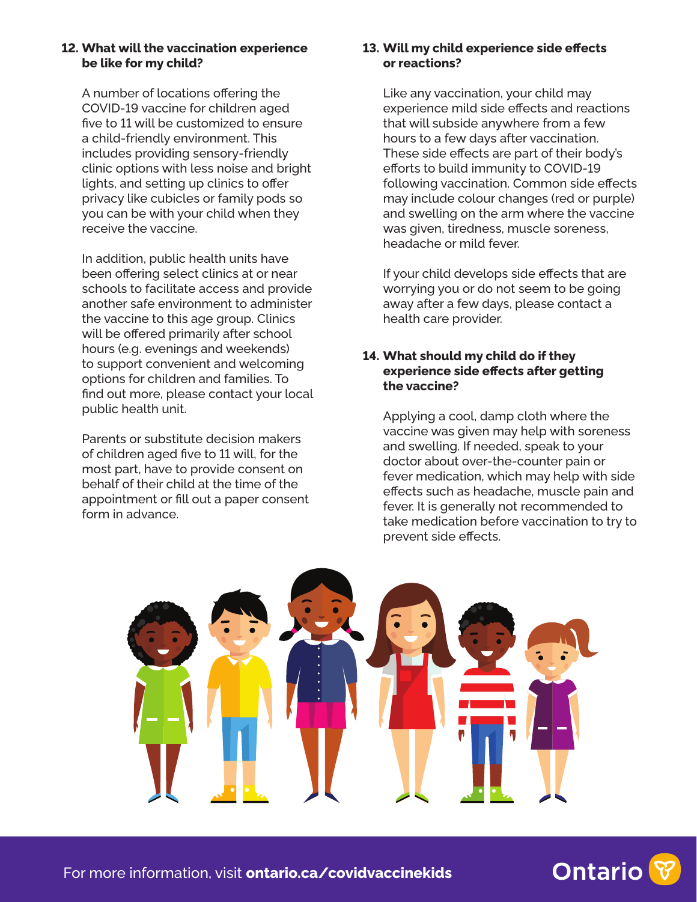#### **12. What will the vaccination experience be like for my child?**

A number of locations offering the COVID-19 vaccine for children aged five to 11 will be customized to ensure a child-friendly environment. This includes providing sensory-friendly clinic options with less noise and bright lights, and setting up clinics to offer privacy like cubicles or family pods so you can be with your child when they receive the vaccine.

In addition, public health units have been offering select clinics at or near schools to facilitate access and provide another safe environment to administer the vaccine to this age group. Clinics will be offered primarily after school hours (e.g. evenings and weekends) to support convenient and welcoming options for children and families. To find out more, please contact your local public health unit.

Parents or substitute decision makers of children aged five to 11 will, for the most part, have to provide consent on behalf of their child at the time of the appointment or fill out a paper consent form in advance.

## **13. Will my child experience side effects or reactions?**

Like any vaccination, your child may experience mild side effects and reactions that will subside anywhere from a few hours to a few days after vaccination. These side effects are part of their body's efforts to build immunity to COVID-19 following vaccination. Common side effects may include colour changes (red or purple) and swelling on the arm where the vaccine was given, tiredness, muscle soreness, headache or mild fever.

If your child develops side effects that are worrying you or do not seem to be going away after a few days, please contact a health care provider.

## **14. What should my child do if they experience side effects after getting the vaccine?**

Applying a cool, damp cloth where the vaccine was given may help with soreness and swelling. If needed, speak to your doctor about over-the-counter pain or fever medication, which may help with side effects such as headache, muscle pain and fever. It is generally not recommended to take medication before vaccination to try to prevent side effects.